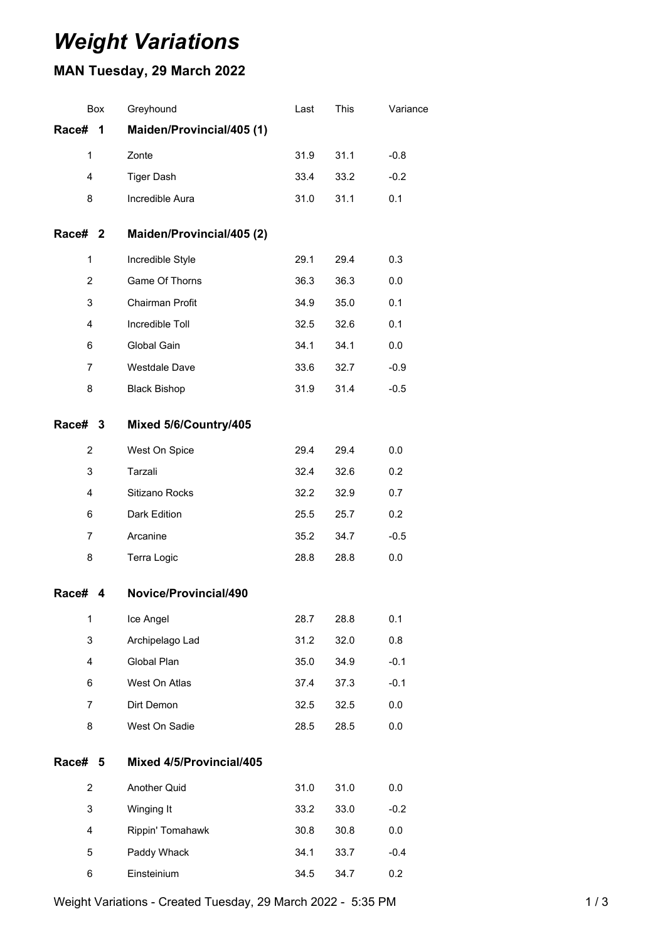## *Weight Variations*

## **MAN Tuesday, 29 March 2022**

| Box            | Greyhound                 | Last | This | Variance |
|----------------|---------------------------|------|------|----------|
| Race#<br>1     | Maiden/Provincial/405 (1) |      |      |          |
| $\mathbf{1}$   | Zonte                     | 31.9 | 31.1 | $-0.8$   |
| 4              | <b>Tiger Dash</b>         | 33.4 | 33.2 | $-0.2$   |
| 8              | Incredible Aura           | 31.0 | 31.1 | 0.1      |
| Race# 2        | Maiden/Provincial/405 (2) |      |      |          |
| 1              | Incredible Style          | 29.1 | 29.4 | 0.3      |
| $\overline{2}$ | Game Of Thorns            | 36.3 | 36.3 | 0.0      |
| 3              | Chairman Profit           | 34.9 | 35.0 | 0.1      |
| 4              | Incredible Toll           | 32.5 | 32.6 | 0.1      |
| 6              | Global Gain               | 34.1 | 34.1 | 0.0      |
| $\overline{7}$ | Westdale Dave             | 33.6 | 32.7 | $-0.9$   |
| 8              | <b>Black Bishop</b>       | 31.9 | 31.4 | $-0.5$   |
| Race# 3        | Mixed 5/6/Country/405     |      |      |          |
| 2              | West On Spice             | 29.4 | 29.4 | 0.0      |
| 3              | Tarzali                   | 32.4 | 32.6 | 0.2      |
| 4              | Sitizano Rocks            | 32.2 | 32.9 | 0.7      |
| 6              | Dark Edition              | 25.5 | 25.7 | 0.2      |
| $\overline{7}$ | Arcanine                  | 35.2 | 34.7 | $-0.5$   |
| 8              | Terra Logic               | 28.8 | 28.8 | 0.0      |
| Race#<br>4     | Novice/Provincial/490     |      |      |          |
| $\mathbf{1}$   | Ice Angel                 | 28.7 | 28.8 | 0.1      |
| 3              | Archipelago Lad           | 31.2 | 32.0 | 0.8      |
| 4              | Global Plan               | 35.0 | 34.9 | $-0.1$   |
| 6              | West On Atlas             | 37.4 | 37.3 | $-0.1$   |
| $\overline{7}$ | Dirt Demon                | 32.5 | 32.5 | 0.0      |
| 8              | West On Sadie             | 28.5 | 28.5 | 0.0      |
| Race# 5        | Mixed 4/5/Provincial/405  |      |      |          |
| $\overline{2}$ | Another Quid              | 31.0 | 31.0 | 0.0      |
| 3              | Winging It                | 33.2 | 33.0 | $-0.2$   |
| 4              | Rippin' Tomahawk          | 30.8 | 30.8 | 0.0      |
| 5              | Paddy Whack               | 34.1 | 33.7 | $-0.4$   |
| 6              | Einsteinium               | 34.5 | 34.7 | 0.2      |

Weight Variations - Created Tuesday, 29 March 2022 - 5:35 PM 1 / 3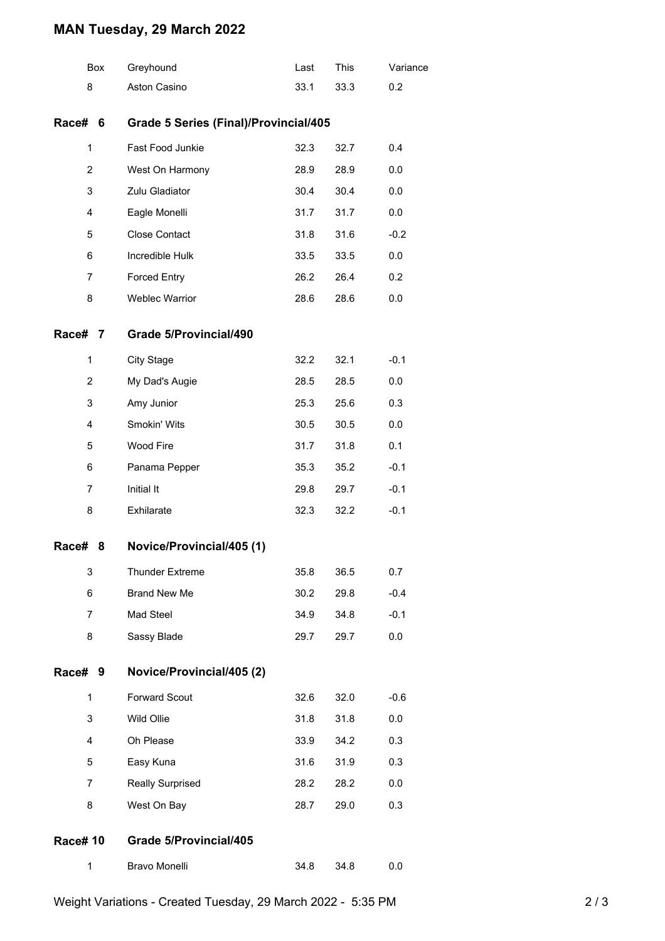## **MAN Tuesday, 29 March 2022**

|                | Box | Greyhound                                    | Last | This | Variance |  |  |
|----------------|-----|----------------------------------------------|------|------|----------|--|--|
| 8              |     | Aston Casino                                 | 33.1 | 33.3 | 0.2      |  |  |
| Race#          | 6   | <b>Grade 5 Series (Final)/Provincial/405</b> |      |      |          |  |  |
| $\mathbf{1}$   |     | Fast Food Junkie                             | 32.3 | 32.7 | 0.4      |  |  |
| 2              |     | West On Harmony                              | 28.9 | 28.9 | 0.0      |  |  |
| 3              |     | Zulu Gladiator                               | 30.4 | 30.4 | 0.0      |  |  |
| 4              |     | Eagle Monelli                                | 31.7 | 31.7 | 0.0      |  |  |
| 5              |     | <b>Close Contact</b>                         | 31.8 | 31.6 | $-0.2$   |  |  |
| 6              |     | Incredible Hulk                              | 33.5 | 33.5 | 0.0      |  |  |
| 7              |     | <b>Forced Entry</b>                          | 26.2 | 26.4 | 0.2      |  |  |
| 8              |     | Weblec Warrior                               | 28.6 | 28.6 | 0.0      |  |  |
| Race#          | 7   | Grade 5/Provincial/490                       |      |      |          |  |  |
| 1              |     | <b>City Stage</b>                            | 32.2 | 32.1 | $-0.1$   |  |  |
| 2              |     | My Dad's Augie                               | 28.5 | 28.5 | 0.0      |  |  |
| 3              |     | Amy Junior                                   | 25.3 | 25.6 | 0.3      |  |  |
| 4              |     | Smokin' Wits                                 | 30.5 | 30.5 | 0.0      |  |  |
| 5              |     | Wood Fire                                    | 31.7 | 31.8 | 0.1      |  |  |
| 6              |     | Panama Pepper                                | 35.3 | 35.2 | $-0.1$   |  |  |
| 7              |     | Initial It                                   | 29.8 | 29.7 | $-0.1$   |  |  |
| 8              |     | Exhilarate                                   | 32.3 | 32.2 | $-0.1$   |  |  |
| Race#          | 8   | Novice/Provincial/405 (1)                    |      |      |          |  |  |
| 3              |     | <b>Thunder Extreme</b>                       | 35.8 | 36.5 | 0.7      |  |  |
| 6              |     | <b>Brand New Me</b>                          | 30.2 | 29.8 | $-0.4$   |  |  |
| 7              |     | Mad Steel                                    | 34.9 | 34.8 | $-0.1$   |  |  |
| 8              |     | Sassy Blade                                  | 29.7 | 29.7 | 0.0      |  |  |
| Race#          | 9   | Novice/Provincial/405 (2)                    |      |      |          |  |  |
| 1              |     | <b>Forward Scout</b>                         | 32.6 | 32.0 | $-0.6$   |  |  |
| 3              |     | Wild Ollie                                   | 31.8 | 31.8 | 0.0      |  |  |
| 4              |     | Oh Please                                    | 33.9 | 34.2 | 0.3      |  |  |
| 5              |     | Easy Kuna                                    | 31.6 | 31.9 | 0.3      |  |  |
| 7              |     | <b>Really Surprised</b>                      | 28.2 | 28.2 | 0.0      |  |  |
| 8              |     | West On Bay                                  | 28.7 | 29.0 | 0.3      |  |  |
| <b>Race#10</b> |     | Grade 5/Provincial/405                       |      |      |          |  |  |
| 1              |     | Bravo Monelli                                | 34.8 | 34.8 | 0.0      |  |  |
|                |     |                                              |      |      |          |  |  |